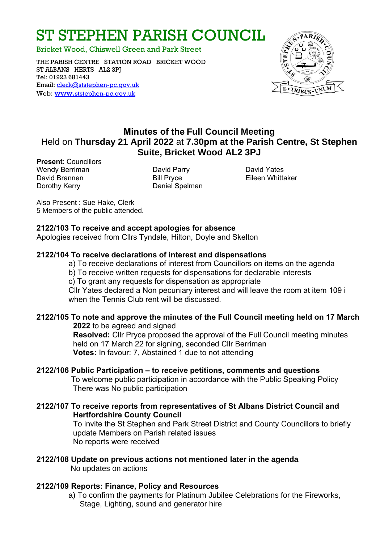# ST STEPHEN PARISH COUNCIL

Bricket Wood, Chiswell Green and Park Street

THE PARISH CENTRE STATION ROAD BRICKET WOOD ST ALBANS HERTS AL2 3PJ Tel: 01923 681443 Email: [clerk@ststephen-pc.gov.uk](mailto:clerk@ststephen-pc.gov.uk)  Web: www.[ststephen-pc.gov.uk](http://www.ststephen-pc.gov.uk/)



## **Minutes of the Full Council Meeting** Held on **Thursday 21 April 2022** at **7.30pm at the Parish Centre, St Stephen Suite, Bricket Wood AL2 3PJ**

**Present**: Councillors Wendy Berriman David Parry David Yates David Brannen **Bill Pryce Eileen Whittaker** Dorothy Kerry **Daniel Spelman** 

Also Present : Sue Hake, Clerk 5 Members of the public attended.

#### **2122/103 To receive and accept apologies for absence**

Apologies received from Cllrs Tyndale, Hilton, Doyle and Skelton

#### **2122/104 To receive declarations of interest and dispensations**

a) To receive declarations of interest from Councillors on items on the agenda

b) To receive written requests for dispensations for declarable interests

c) To grant any requests for dispensation as appropriate

Cllr Yates declared a Non pecuniary interest and will leave the room at item 109 i when the Tennis Club rent will be discussed.

## **2122/105 To note and approve the minutes of the Full Council meeting held on 17 March**

**2022** to be agreed and signed **Resolved:** Cllr Pryce proposed the approval of the Full Council meeting minutes held on 17 March 22 for signing, seconded Cllr Berriman **Votes:** In favour: 7, Abstained 1 due to not attending

#### **2122/106 Public Participation – to receive petitions, comments and questions**

 To welcome public participation in accordance with the Public Speaking Policy There was No public participation

#### **2122/107 To receive reports from representatives of St Albans District Council and Hertfordshire County Council**

To invite the St Stephen and Park Street District and County Councillors to briefly update Members on Parish related issues No reports were received

#### **2122/108 Update on previous actions not mentioned later in the agenda** No updates on actions

#### **2122/109 Reports: Finance, Policy and Resources**

a) To confirm the payments for Platinum Jubilee Celebrations for the Fireworks, Stage, Lighting, sound and generator hire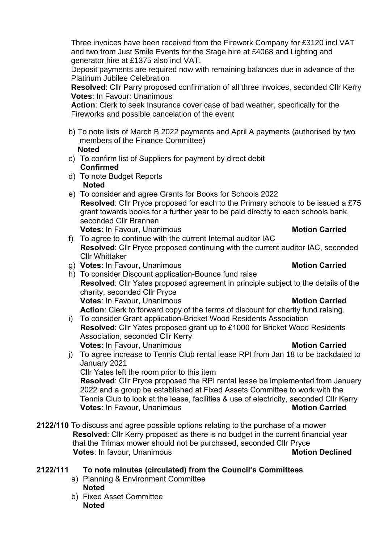Three invoices have been received from the Firework Company for £3120 incl VAT and two from Just Smile Events for the Stage hire at £4068 and Lighting and generator hire at £1375 also incl VAT.

Deposit payments are required now with remaining balances due in advance of the Platinum Jubilee Celebration

**Resolved**: Cllr Parry proposed confirmation of all three invoices, seconded Cllr Kerry **Votes**: In Favour: Unanimous

**Action**: Clerk to seek Insurance cover case of bad weather, specifically for the Fireworks and possible cancelation of the event

- b) To note lists of March B 2022 payments and April A payments (authorised by two members of the Finance Committee) **Noted**
- c) To confirm list of Suppliers for payment by direct debit **Confirmed**
- d) To note Budget Reports **Noted**
- e) To consider and agree Grants for Books for Schools 2022 **Resolved**: Cllr Pryce proposed for each to the Primary schools to be issued a £75 grant towards books for a further year to be paid directly to each schools bank, seconded Cllr Brannen **Votes:** In Favour, Unanimous **Motion Carried** 
	-
- f) To agree to continue with the current Internal auditor IAC **Resolved**: Cllr Pryce proposed continuing with the current auditor IAC, seconded Cllr Whittaker
- g) **Votes**: In Favour, Unanimous **Motion Carried**
- h) To consider Discount application-Bounce fund raise **Resolved**: Cllr Yates proposed agreement in principle subject to the details of the charity, seconded Cllr Pryce **Votes:** In Favour, Unanimous **Motion Carried Action**: Clerk to forward copy of the terms of discount for charity fund raising.
- i) To consider Grant application-Bricket Wood Residents Association **Resolved**: Cllr Yates proposed grant up to £1000 for Bricket Wood Residents Association, seconded Cllr Kerry **Votes:** In Favour, Unanimous **Motion Carried**
- j) To agree increase to Tennis Club rental lease RPI from Jan 18 to be backdated to January 2021

Cllr Yates left the room prior to this item

**Resolved**: Cllr Pryce proposed the RPI rental lease be implemented from January 2022 and a group be established at Fixed Assets Committee to work with the Tennis Club to look at the lease, facilities & use of electricity, seconded Cllr Kerry **Votes:** In Favour, Unanimous **Motion Carried** 

- **2122/110** To discuss and agree possible options relating to the purchase of a mower **Resolved**: Cllr Kerry proposed as there is no budget in the current financial year that the Trimax mower should not be purchased, seconded Cllr Pryce **Votes:** In favour, Unanimous **Motion Declined**
- **2122/111 To note minutes (circulated) from the Council's Committees**
	- a) Planning & Environment Committee **Noted**
	- b) Fixed Asset Committee **Noted**